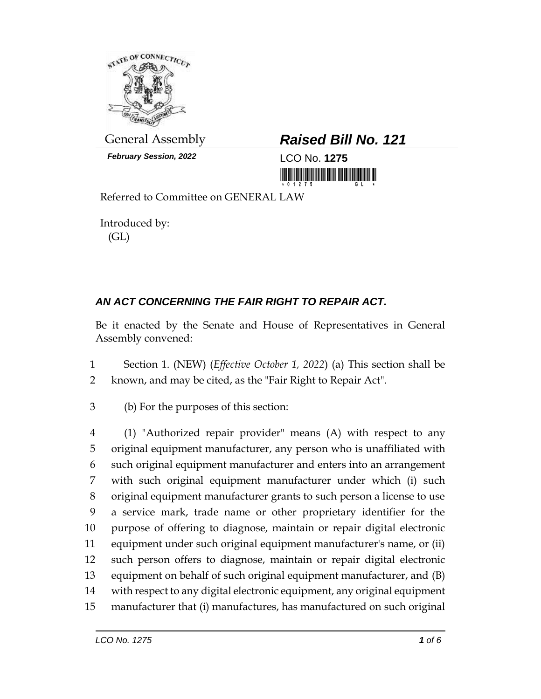

*February Session, 2022* LCO No. **1275**

## General Assembly *Raised Bill No. 121*

<u> III MARIJI MATIJI MATIJI MATIJI MATIJI MATIJI MATIJI MATIJI MATIJI MATIJI MATIJI MATIJI MATIJI MATIJI MATIJI M</u>

Referred to Committee on GENERAL LAW

Introduced by: (GL)

## *AN ACT CONCERNING THE FAIR RIGHT TO REPAIR ACT.*

Be it enacted by the Senate and House of Representatives in General Assembly convened:

- 1 Section 1. (NEW) (*Effective October 1, 2022*) (a) This section shall be 2 known, and may be cited, as the "Fair Right to Repair Act".
- 3 (b) For the purposes of this section:

 (1) "Authorized repair provider" means (A) with respect to any original equipment manufacturer, any person who is unaffiliated with such original equipment manufacturer and enters into an arrangement with such original equipment manufacturer under which (i) such original equipment manufacturer grants to such person a license to use a service mark, trade name or other proprietary identifier for the purpose of offering to diagnose, maintain or repair digital electronic equipment under such original equipment manufacturer's name, or (ii) such person offers to diagnose, maintain or repair digital electronic equipment on behalf of such original equipment manufacturer, and (B) with respect to any digital electronic equipment, any original equipment manufacturer that (i) manufactures, has manufactured on such original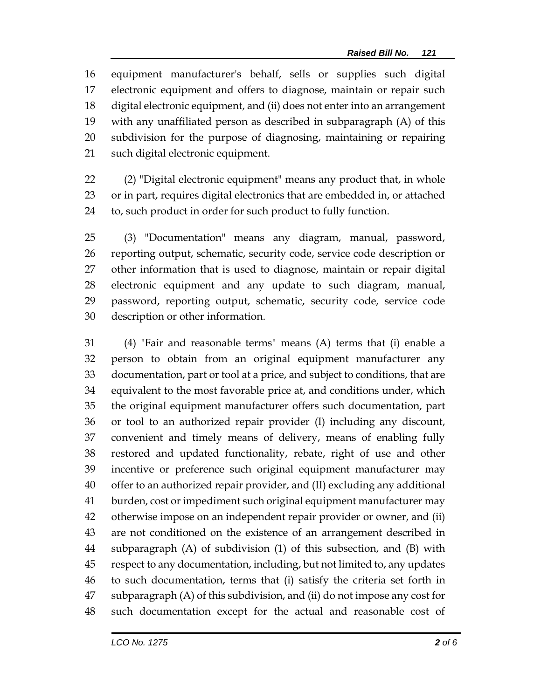equipment manufacturer's behalf, sells or supplies such digital electronic equipment and offers to diagnose, maintain or repair such digital electronic equipment, and (ii) does not enter into an arrangement with any unaffiliated person as described in subparagraph (A) of this subdivision for the purpose of diagnosing, maintaining or repairing such digital electronic equipment.

 (2) "Digital electronic equipment" means any product that, in whole or in part, requires digital electronics that are embedded in, or attached to, such product in order for such product to fully function.

 (3) "Documentation" means any diagram, manual, password, reporting output, schematic, security code, service code description or other information that is used to diagnose, maintain or repair digital electronic equipment and any update to such diagram, manual, password, reporting output, schematic, security code, service code description or other information.

 (4) "Fair and reasonable terms" means (A) terms that (i) enable a person to obtain from an original equipment manufacturer any documentation, part or tool at a price, and subject to conditions, that are equivalent to the most favorable price at, and conditions under, which the original equipment manufacturer offers such documentation, part or tool to an authorized repair provider (I) including any discount, convenient and timely means of delivery, means of enabling fully restored and updated functionality, rebate, right of use and other incentive or preference such original equipment manufacturer may offer to an authorized repair provider, and (II) excluding any additional burden, cost or impediment such original equipment manufacturer may otherwise impose on an independent repair provider or owner, and (ii) are not conditioned on the existence of an arrangement described in subparagraph (A) of subdivision (1) of this subsection, and (B) with respect to any documentation, including, but not limited to, any updates to such documentation, terms that (i) satisfy the criteria set forth in subparagraph (A) of this subdivision, and (ii) do not impose any cost for such documentation except for the actual and reasonable cost of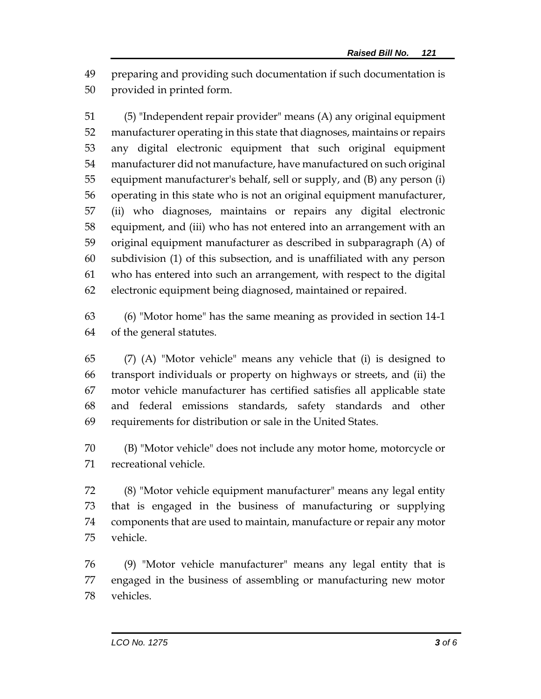preparing and providing such documentation if such documentation is provided in printed form.

 (5) "Independent repair provider" means (A) any original equipment manufacturer operating in this state that diagnoses, maintains or repairs any digital electronic equipment that such original equipment manufacturer did not manufacture, have manufactured on such original equipment manufacturer's behalf, sell or supply, and (B) any person (i) operating in this state who is not an original equipment manufacturer, (ii) who diagnoses, maintains or repairs any digital electronic equipment, and (iii) who has not entered into an arrangement with an original equipment manufacturer as described in subparagraph (A) of subdivision (1) of this subsection, and is unaffiliated with any person who has entered into such an arrangement, with respect to the digital electronic equipment being diagnosed, maintained or repaired.

 (6) "Motor home" has the same meaning as provided in section 14-1 of the general statutes.

 (7) (A) "Motor vehicle" means any vehicle that (i) is designed to transport individuals or property on highways or streets, and (ii) the motor vehicle manufacturer has certified satisfies all applicable state and federal emissions standards, safety standards and other requirements for distribution or sale in the United States.

 (B) "Motor vehicle" does not include any motor home, motorcycle or recreational vehicle.

 (8) "Motor vehicle equipment manufacturer" means any legal entity that is engaged in the business of manufacturing or supplying components that are used to maintain, manufacture or repair any motor vehicle.

 (9) "Motor vehicle manufacturer" means any legal entity that is engaged in the business of assembling or manufacturing new motor vehicles.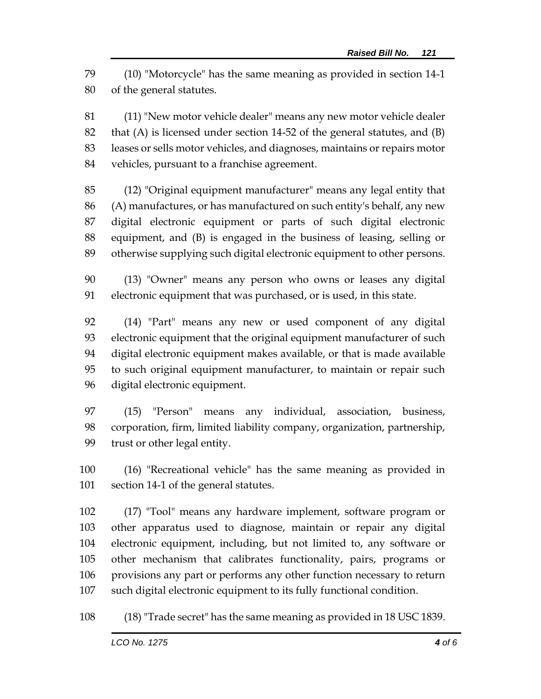(10) "Motorcycle" has the same meaning as provided in section 14-1 of the general statutes.

 (11) "New motor vehicle dealer" means any new motor vehicle dealer that (A) is licensed under section 14-52 of the general statutes, and (B) leases or sells motor vehicles, and diagnoses, maintains or repairs motor vehicles, pursuant to a franchise agreement.

 (12) "Original equipment manufacturer" means any legal entity that (A) manufactures, or has manufactured on such entity's behalf, any new digital electronic equipment or parts of such digital electronic equipment, and (B) is engaged in the business of leasing, selling or otherwise supplying such digital electronic equipment to other persons.

 (13) "Owner" means any person who owns or leases any digital electronic equipment that was purchased, or is used, in this state.

 (14) "Part" means any new or used component of any digital electronic equipment that the original equipment manufacturer of such digital electronic equipment makes available, or that is made available to such original equipment manufacturer, to maintain or repair such digital electronic equipment.

 (15) "Person" means any individual, association, business, corporation, firm, limited liability company, organization, partnership, trust or other legal entity.

 (16) "Recreational vehicle" has the same meaning as provided in section 14-1 of the general statutes.

 (17) "Tool" means any hardware implement, software program or other apparatus used to diagnose, maintain or repair any digital electronic equipment, including, but not limited to, any software or other mechanism that calibrates functionality, pairs, programs or provisions any part or performs any other function necessary to return such digital electronic equipment to its fully functional condition.

(18) "Trade secret" has the same meaning as provided in 18 USC 1839.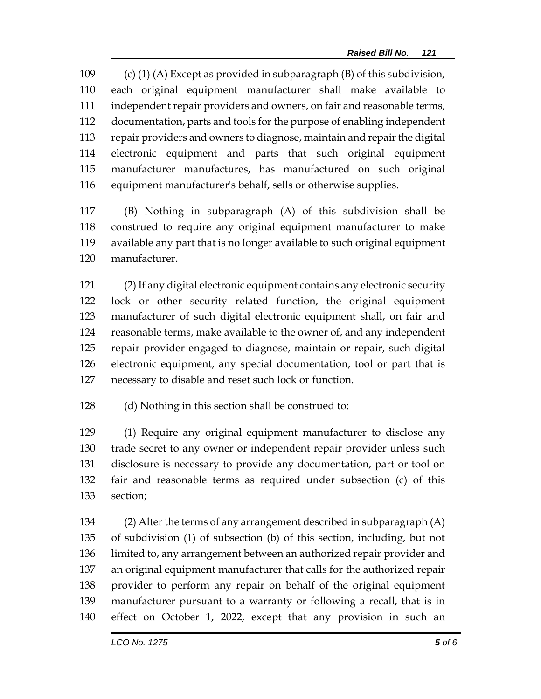(c) (1) (A) Except as provided in subparagraph (B) of this subdivision, each original equipment manufacturer shall make available to independent repair providers and owners, on fair and reasonable terms, documentation, parts and tools for the purpose of enabling independent repair providers and owners to diagnose, maintain and repair the digital electronic equipment and parts that such original equipment manufacturer manufactures, has manufactured on such original equipment manufacturer's behalf, sells or otherwise supplies.

 (B) Nothing in subparagraph (A) of this subdivision shall be construed to require any original equipment manufacturer to make available any part that is no longer available to such original equipment manufacturer.

 (2) If any digital electronic equipment contains any electronic security lock or other security related function, the original equipment manufacturer of such digital electronic equipment shall, on fair and reasonable terms, make available to the owner of, and any independent repair provider engaged to diagnose, maintain or repair, such digital electronic equipment, any special documentation, tool or part that is necessary to disable and reset such lock or function.

(d) Nothing in this section shall be construed to:

 (1) Require any original equipment manufacturer to disclose any trade secret to any owner or independent repair provider unless such disclosure is necessary to provide any documentation, part or tool on fair and reasonable terms as required under subsection (c) of this section;

 (2) Alter the terms of any arrangement described in subparagraph (A) of subdivision (1) of subsection (b) of this section, including, but not limited to, any arrangement between an authorized repair provider and an original equipment manufacturer that calls for the authorized repair provider to perform any repair on behalf of the original equipment manufacturer pursuant to a warranty or following a recall, that is in effect on October 1, 2022, except that any provision in such an